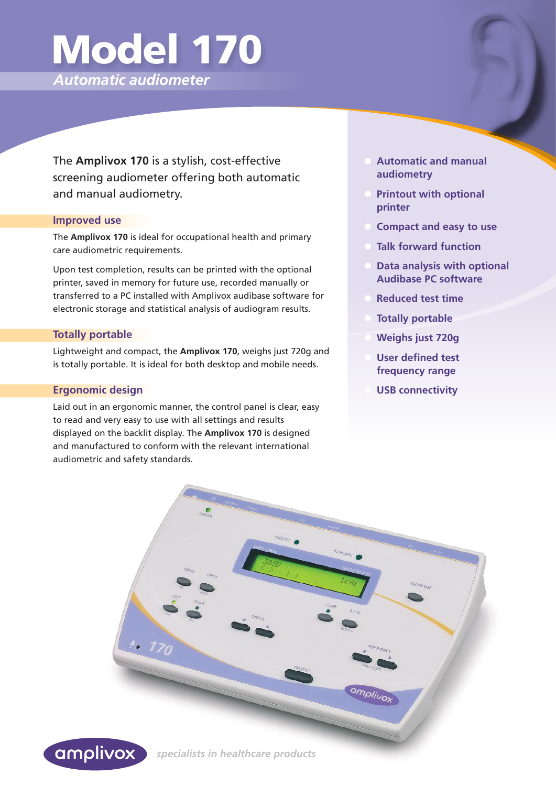# Model 170

*Automatic audiometer*

The **Amplivox 170** is a stylish, cost-effective screening audiometer offering both automatic and manual audiometry.

# **Improved use**

The **Amplivox 170** is ideal for occupational health and primary care audiometric requirements.

Upon test completion, results can be printed with the optional printer, saved in memory for future use, recorded manually or transferred to a PC installed with Amplivox audibase software for electronic storage and statistical analysis of audiogram results.

# **Totally portable**

Lightweight and compact, the **Amplivox 170**, weighs just 720g and is totally portable. It is ideal for both desktop and mobile needs.

#### **Ergonomic design**

Laid out in an ergonomic manner, the control panel is clear, easy to read and very easy to use with all settings and results displayed on the backlit display. The **Amplivox 170** is designed and manufactured to conform with the relevant international audiometric and safety standards.

- **• Automatic and manual audiometry**
- **• Printout with optional printer**
- **• Compact and easy to use**
- **• Talk forward function**
- **• Data analysis with optional Audibase PC software**
- **• Reduced test time**
- **• Totally portable**
- **• Weighs just 720g**
- **• User defined test frequency range**
- **• USB connectivity**